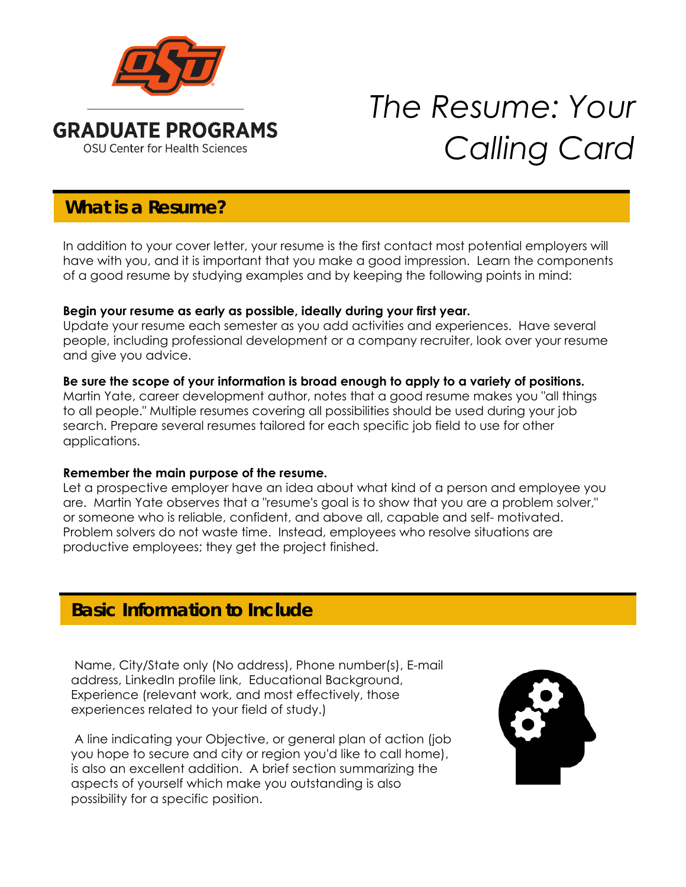

# *The Resume: Your Calling Card*

# **What is a Resume?**

In addition to your cover letter, your resume is the first contact most potential employers will have with you, and it is important that you make a good impression. Learn the components of a good resume by studying examples and by keeping the following points in mind:

## **Begin your resume as early as possible, ideally during your first year.**

Update your resume each semester as you add activities and experiences. Have several people, including professional development or a company recruiter, look over your resume and give you advice.

## **Be sure the scope of your information is broad enough to apply to a variety of positions.**

Martin Yate, career development author, notes that a good resume makes you "all things to all people." Multiple resumes covering all possibilities should be used during your job search. Prepare several resumes tailored for each specific job field to use for other applications.

## **Remember the main purpose of the resume.**

Let a prospective employer have an idea about what kind of a person and employee you are. Martin Yate observes that a "resume's goal is to show that you are a problem solver," or someone who is reliable, confident, and above all, capable and self- motivated. Problem solvers do not waste time. Instead, employees who resolve situations are productive employees; they get the project finished.

# **Basic Information to Include**

 Name, City/State only (No address), Phone number(s), E-mail address, LinkedIn profile link, Educational Background, Experience (relevant work, and most effectively, those experiences related to your field of study.)

 A line indicating your Objective, or general plan of action (job you hope to secure and city or region you'd like to call home), is also an excellent addition. A brief section summarizing the aspects of yourself which make you outstanding is also possibility for a specific position.